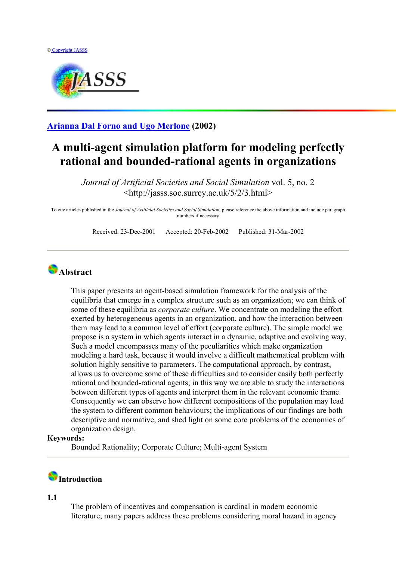

**[Arianna Dal Forno and Ugo Merlone](http://jasss.soc.surrey.ac.uk/5/2/3/forno.html) (2002)** 

## **A multi-agent simulation platform for modeling perfectly rational and bounded-rational agents in organizations**

*Journal of Artificial Societies and Social Simulation* vol. 5, no. 2 <http://jasss.soc.surrey.ac.uk/5/2/3.html>

To cite articles published in the *Journal of Artificial Societies and Social Simulation,* please reference the above information and include paragraph numbers if necessary

Received: 23-Dec-2001 Accepted: 20-Feb-2002 Published: 31-Mar-2002

### **Abstract**

This paper presents an agent-based simulation framework for the analysis of the equilibria that emerge in a complex structure such as an organization; we can think of some of these equilibria as *corporate culture*. We concentrate on modeling the effort exerted by heterogeneous agents in an organization, and how the interaction between them may lead to a common level of effort (corporate culture). The simple model we propose is a system in which agents interact in a dynamic, adaptive and evolving way. Such a model encompasses many of the peculiarities which make organization modeling a hard task, because it would involve a difficult mathematical problem with solution highly sensitive to parameters. The computational approach, by contrast, allows us to overcome some of these difficulties and to consider easily both perfectly rational and bounded-rational agents; in this way we are able to study the interactions between different types of agents and interpret them in the relevant economic frame. Consequently we can observe how different compositions of the population may lead the system to different common behaviours; the implications of our findings are both descriptive and normative, and shed light on some core problems of the economics of organization design.

#### **Keywords:**

Bounded Rationality; Corporate Culture; Multi-agent System

### **Introduction**

**1.1**

The problem of incentives and compensation is cardinal in modern economic literature; many papers address these problems considering moral hazard in agency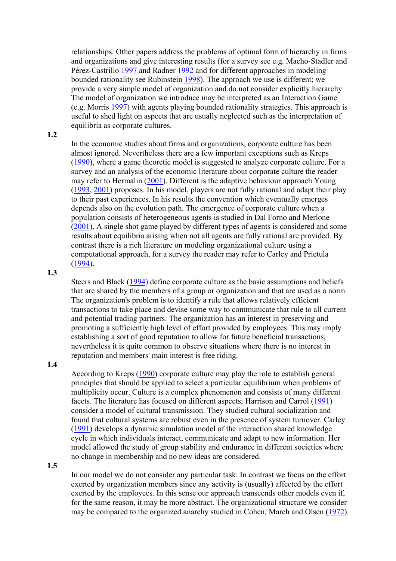relationships. Other papers address the problems of optimal form of hierarchy in firms and organizations and give interesting results (for a survey see e.g. Macho-Stadler and Pérez-Castrillo [1997](#page-17-0) and Radner [1992](#page-17-0) and for different approaches in modeling bounded rationality see Rubinstein 1998). The approach we use is different; we provide a very simple model of organization and do not consider explicitly hierarchy. The model of organization we introduce may be interpreted as an Interaction Game (e.g. Morris 1997) with agents playing bounded rationality strategies. This approach is useful to shed light on aspects that are usually neglected such as the interpretation of equilibria as corporate cultures.

#### **1.2**

In the economic studies about firms and organizations, corporate culture has been almost ignored. Nevertheless there are a few important exceptions such as Kreps (1990), where a game theoretic model is suggested to analyze corporate culture. For a survey and an analysis of the economic literature about corporate culture the reader may refer to Hermalin (2001). Different is the adaptive behaviour approach Young (1993, 2001) proposes. In his model, players are not fully rational and adapt their play to their past experiences. In his results the convention which eventually emerges depends also on the evolution path. The emergence of corporate culture when a population consists of heterogeneous agents is studied in Dal Forno and Merlone (2001). A single shot game played by different types of agents is considered and some results about equilibria arising when not all agents are fully rational are provided. By contrast there is a rich literature on modeling organizational culture using a computational approach, for a survey the reader may refer to Carley and Prietula (1994).

#### **1.3**

Steers and Black (1994) define corporate culture as the basic assumptions and beliefs that are shared by the members of a group or organization and that are used as a norm. The organization's problem is to identify a rule that allows relatively efficient transactions to take place and devise some way to communicate that rule to all current and potential trading partners. The organization has an interest in preserving and promoting a sufficiently high level of effort provided by employees. This may imply establishing a sort of good reputation to allow for future beneficial transactions; nevertheless it is quite common to observe situations where there is no interest in reputation and members' main interest is free riding.

#### **1.4**

According to Kreps (1990) corporate culture may play the role to establish general principles that should be applied to select a particular equilibrium when problems of multiplicity occur. Culture is a complex phenomenon and consists of many different facets. The literature has focused on different aspects; Harrison and Carrol (1991) consider a model of cultural transmission. They studied cultural socialization and found that cultural systems are robust even in the presence of system turnover. Carley (1991) develops a dynamic simulation model of the interaction shared knowledge cycle in which individuals interact, communicate and adapt to new information. Her model allowed the study of group stability and endurance in different societies where no change in membership and no new ideas are considered.

#### **1.5**

In our model we do not consider any particular task. In contrast we focus on the effort exerted by organization members since any activity is (usually) affected by the effort exerted by the employees. In this sense our approach transcends other models even if, for the same reason, it may be more abstract. The organizational structure we consider may be compared to the organized anarchy studied in Cohen, March and Olsen (1972).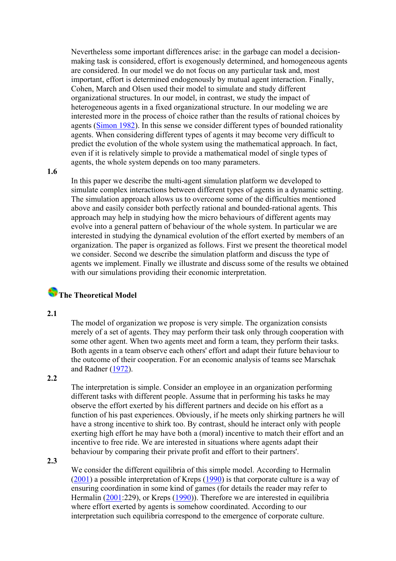Nevertheless some important differences arise: in the garbage can model a decisionmaking task is considered, effort is exogenously determined, and homogeneous agents are considered. In our model we do not focus on any particular task and, most important, effort is determined endogenously by mutual agent interaction. Finally, Cohen, March and Olsen used their model to simulate and study different organizational structures. In our model, in contrast, we study the impact of heterogeneous agents in a fixed organizational structure. In our modeling we are interested more in the process of choice rather than the results of rational choices by agents ([Simon 1982\)](#page-17-0). In this sense we consider different types of bounded rationality agents. When considering different types of agents it may become very difficult to predict the evolution of the whole system using the mathematical approach. In fact, even if it is relatively simple to provide a mathematical model of single types of agents, the whole system depends on too many parameters.

**1.6**

In this paper we describe the multi-agent simulation platform we developed to simulate complex interactions between different types of agents in a dynamic setting. The simulation approach allows us to overcome some of the difficulties mentioned above and easily consider both perfectly rational and bounded-rational agents. This approach may help in studying how the micro behaviours of different agents may evolve into a general pattern of behaviour of the whole system. In particular we are interested in studying the dynamical evolution of the effort exerted by members of an organization. The paper is organized as follows. First we present the theoretical model we consider. Second we describe the simulation platform and discuss the type of agents we implement. Finally we illustrate and discuss some of the results we obtained with our simulations providing their economic interpretation.

### **The Theoretical Model**

**2.1**

The model of organization we propose is very simple. The organization consists merely of a set of agents. They may perform their task only through cooperation with some other agent. When two agents meet and form a team, they perform their tasks. Both agents in a team observe each others' effort and adapt their future behaviour to the outcome of their cooperation. For an economic analysis of teams see Marschak and Radner ([1972\)](#page-17-0).

#### **2.2**

The interpretation is simple. Consider an employee in an organization performing different tasks with different people. Assume that in performing his tasks he may observe the effort exerted by his different partners and decide on his effort as a function of his past experiences. Obviously, if he meets only shirking partners he will have a strong incentive to shirk too. By contrast, should he interact only with people exerting high effort he may have both a (moral) incentive to match their effort and an incentive to free ride. We are interested in situations where agents adapt their behaviour by comparing their private profit and effort to their partners'.

**2.3**

We consider the different equilibria of this simple model. According to Hermalin ([2001\)](#page-17-0) a possible interpretation of Kreps ([1990\)](#page-17-0) is that corporate culture is a way of ensuring coordination in some kind of games (for details the reader may refer to Hermalin [\(2001](#page-17-0):229), or Kreps [\(1990](#page-17-0))). Therefore we are interested in equilibria where effort exerted by agents is somehow coordinated. According to our interpretation such equilibria correspond to the emergence of corporate culture.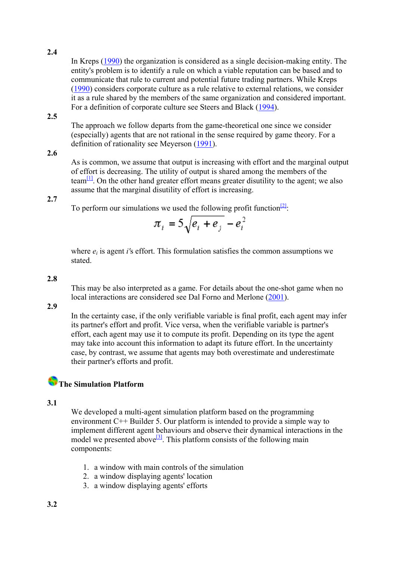In Kreps ([1990\)](#page-17-0) the organization is considered as a single decision-making entity. The entity's problem is to identify a rule on which a viable reputation can be based and to communicate that rule to current and potential future trading partners. While Kreps ([1990\)](#page-17-0) considers corporate culture as a rule relative to external relations, we consider it as a rule shared by the members of the same organization and considered important. For a definition of corporate culture see Steers and Black [\(1994](#page-17-0)).

**2.5**

The approach we follow departs from the game-theoretical one since we consider (especially) agents that are not rational in the sense required by game theory. For a definition of rationality see Meyerson [\(1991](#page-17-0)).

#### **2.6**

As is common, we assume that output is increasing with effort and the marginal output of effort is decreasing. The utility of output is shared among the members of the team<sup>[1]</sup>. On the other hand greater effort means greater disutility to the agent; we also assume that the marginal disutility of effort is increasing.

#### **2.7**

To perform our simulations we used the following profit function $\frac{[2]}{[2]}$ .

$$
\pi_i = 5\sqrt{e_i + e_j} - e_i^2
$$

where  $e_i$  is agent *i*'s effort. This formulation satisfies the common assumptions we stated.

#### **2.8**

This may be also interpreted as a game. For details about the one-shot game when no local interactions are considered see Dal Forno and Merlone [\(2001](#page-16-0)).

**2.9**

In the certainty case, if the only verifiable variable is final profit, each agent may infer its partner's effort and profit. Vice versa, when the verifiable variable is partner's effort, each agent may use it to compute its profit. Depending on its type the agent may take into account this information to adapt its future effort. In the uncertainty case, by contrast, we assume that agents may both overestimate and underestimate their partner's efforts and profit.

## **The Simulation Platform**

#### **3.1**

We developed a multi-agent simulation platform based on the programming environment C++ Builder 5. Our platform is intended to provide a simple way to implement different agent behaviours and observe their dynamical interactions in the model we presented above<sup>[3]</sup>. This platform consists of the following main components:

- 1. a window with main controls of the simulation
- 2. a window displaying agents' location
- 3. a window displaying agents' efforts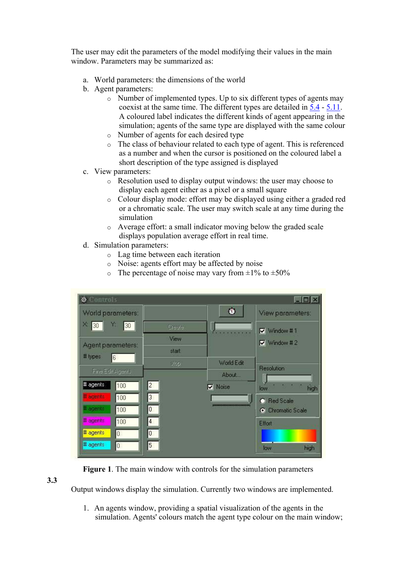The user may edit the parameters of the model modifying their values in the main window. Parameters may be summarized as:

- a. World parameters: the dimensions of the world
- b. Agent parameters:
	- o Number of implemented types. Up to six different types of agents may coexist at the same time. The different types are detailed in [5.4](http://jasss.soc.surrey.ac.uk/5/2/5.4) - [5.11](http://jasss.soc.surrey.ac.uk/5/2/5.11). A coloured label indicates the different kinds of agent appearing in the simulation; agents of the same type are displayed with the same colour
	- o Number of agents for each desired type
	- o The class of behaviour related to each type of agent. This is referenced as a number and when the cursor is positioned on the coloured label a short description of the type assigned is displayed
- c. View parameters:
	- o Resolution used to display output windows: the user may choose to display each agent either as a pixel or a small square
	- o Colour display mode: effort may be displayed using either a graded red or a chromatic scale. The user may switch scale at any time during the simulation
	- o Average effort: a small indicator moving below the graded scale displays population average effort in real time.
- d. Simulation parameters:
	- o Lag time between each iteration
	- o Noise: agents effort may be affected by noise
	- $\circ$  The percentage of noise may vary from  $\pm 1\%$  to  $\pm 50\%$

| <b>O</b> Controls                 |        |                | $\vert x \vert$     |
|-----------------------------------|--------|----------------|---------------------|
| World parameters:                 |        | ۱              | View parameters:    |
| $\times$ 30<br>Y.<br>30           | Create |                | $\nabla$ Window #1  |
| Agent parameters:                 | View   |                | $\nabla$ Window # 2 |
| # types<br>6                      | start  |                |                     |
|                                   | stop   | World Edit     | Resolution          |
| Fine Edit Agento                  |        | About          |                     |
| # agents<br>$\overline{c}$<br>100 |        | <b>V</b> Noise | high<br>low         |
| # agents<br>100                   | 3      |                | C Red Scale         |
| # agents<br>0<br>100              |        |                | C Chromatic Scale   |
| # agents<br>$\overline{4}$<br>100 |        |                | <b>Effort</b>       |
| # agents<br>$\overline{0}$<br>Ö   |        |                |                     |
| # agents<br>$\overline{0}$        | 5      |                | high<br>low         |

**Figure 1**. The main window with controls for the simulation parameters

**3.3**

Output windows display the simulation. Currently two windows are implemented.

1. An agents window, providing a spatial visualization of the agents in the simulation. Agents' colours match the agent type colour on the main window;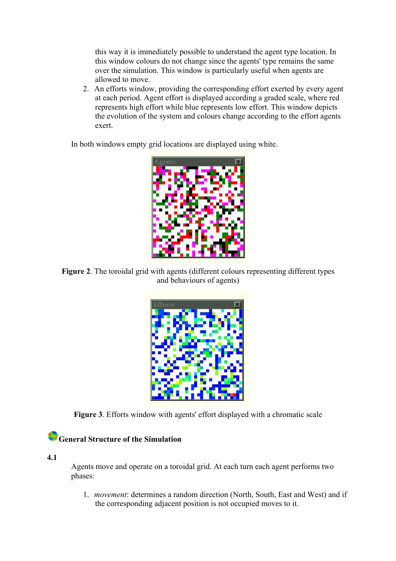this way it is immediately possible to understand the agent type location. In this window colours do not change since the agents' type remains the same over the simulation. This window is particularly useful when agents are allowed to move.

2. An efforts window, providing the corresponding effort exerted by every agent at each period. Agent effort is displayed according a graded scale, where red represents high effort while blue represents low effort. This window depicts the evolution of the system and colours change according to the effort agents exert.

In both windows empty grid locations are displayed using white.



**Figure 2**. The toroidal grid with agents (different colours representing different types and behaviours of agents)



**Figure 3**. Efforts window with agents' effort displayed with a chromatic scale

### **General Structure of the Simulation**

**4.1**

Agents move and operate on a toroidal grid. At each turn each agent performs two phases:

1. *movement*: determines a random direction (North, South, East and West) and if the corresponding adjacent position is not occupied moves to it.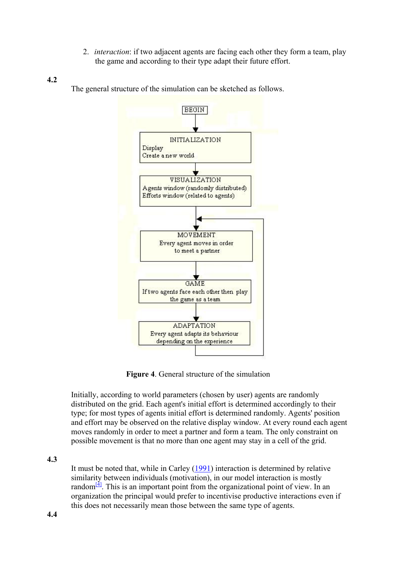- 2. *interaction*: if two adjacent agents are facing each other they form a team, play the game and according to their type adapt their future effort.
- **4.2**

The general structure of the simulation can be sketched as follows.



**Figure 4**. General structure of the simulation

Initially, according to world parameters (chosen by user) agents are randomly distributed on the grid. Each agent's initial effort is determined accordingly to their type; for most types of agents initial effort is determined randomly. Agents' position and effort may be observed on the relative display window. At every round each agent moves randomly in order to meet a partner and form a team. The only constraint on possible movement is that no more than one agent may stay in a cell of the grid.

**4.3**

It must be noted that, while in Carley ([1991\)](#page-16-0) interaction is determined by relative similarity between individuals (motivation), in our model interaction is mostly random $\frac{4}{1}$ . This is an important point from the organizational point of view. In an organization the principal would prefer to incentivise productive interactions even if this does not necessarily mean those between the same type of agents.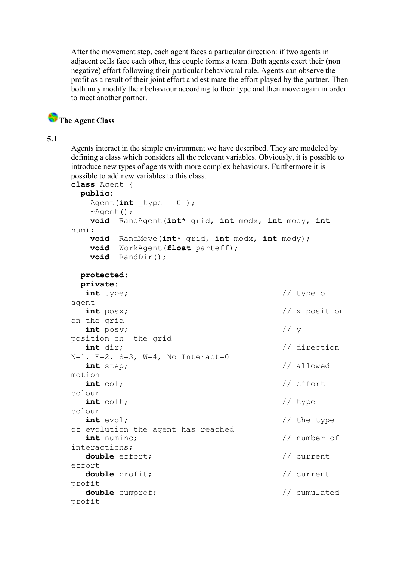After the movement step, each agent faces a particular direction: if two agents in adjacent cells face each other, this couple forms a team. Both agents exert their (non negative) effort following their particular behavioural rule. Agents can observe the profit as a result of their joint effort and estimate the effort played by the partner. Then both may modify their behaviour according to their type and then move again in order to meet another partner.

## **The Agent Class**

#### **5.1**

Agents interact in the simple environment we have described. They are modeled by defining a class which considers all the relevant variables. Obviously, it is possible to introduce new types of agents with more complex behaviours. Furthermore it is possible to add new variables to this class.

```
class Agent { 
  public: 
   Agent(\text{int } type = 0 );
    ~Agent(); 
    void RandAgent(int* grid, int modx, int mody, int 
num); 
    void RandMove(int* grid, int modx, int mody); 
    void WorkAgent(float parteff); 
    void RandDir(); 
  protected: 
  private: 
   int type; // type of 
agent 
   int posx; // x position 
on the grid 
   int posy; // y 
position on the grid 
  int dir; \frac{d}{dx} // direction
N=1, E=2, S=3, W=4, No Interact=0
   int step; // allowed 
motion 
   int col; // effort 
colour 
   int colt; // type 
colour 
  int evol; \left| \right| // the type
of evolution the agent has reached 
   int numinc; // number of 
interactions; 
   double effort; // current 
effort 
  double profit; \frac{1}{2} // current
profit 
  double cumprof; \frac{1}{2} // cumulated
profit
```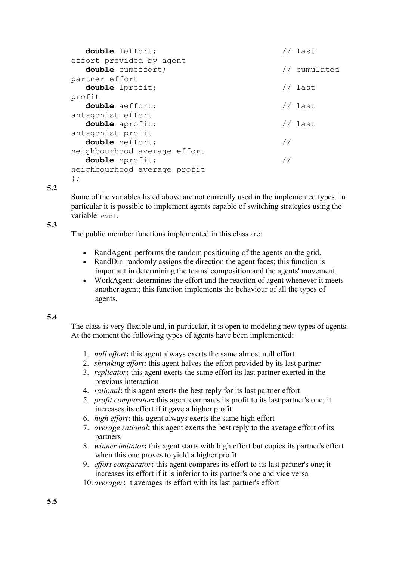```
 double leffort; // last 
effort provided by agent 
  double cumeffort; \frac{1}{2} // cumulated
partner effort 
   double lprofit; // last 
profit 
  double aeffort; \frac{1}{2} // last
antagonist effort 
   double aprofit; // last 
antagonist profit 
   double neffort; // 
neighbourhood average effort 
   double nprofit; // 
neighbourhood average profit 
};
```
Some of the variables listed above are not currently used in the implemented types. In particular it is possible to implement agents capable of switching strategies using the variable evol.

#### **5.3**

The public member functions implemented in this class are:

- RandAgent: performs the random positioning of the agents on the grid.
- RandDir: randomly assigns the direction the agent faces; this function is important in determining the teams' composition and the agents' movement.
- WorkAgent: determines the effort and the reaction of agent whenever it meets another agent; this function implements the behaviour of all the types of agents.

#### **5.4**

The class is very flexible and, in particular, it is open to modeling new types of agents. At the moment the following types of agents have been implemented:

- 1. *null effort***:** this agent always exerts the same almost null effort
- 2. *shrinking effort***:** this agent halves the effort provided by its last partner
- 3. *replicator***:** this agent exerts the same effort its last partner exerted in the previous interaction
- 4. *rational***:** this agent exerts the best reply for its last partner effort
- 5. *profit comparator***:** this agent compares its profit to its last partner's one; it increases its effort if it gave a higher profit
- 6. *high effort***:** this agent always exerts the same high effort
- 7. *average rational***:** this agent exerts the best reply to the average effort of its partners
- 8. *winner imitator***:** this agent starts with high effort but copies its partner's effort when this one proves to yield a higher profit
- 9. *effort comparator***:** this agent compares its effort to its last partner's one; it increases its effort if it is inferior to its partner's one and vice versa
- 10. *averager***:** it averages its effort with its last partner's effort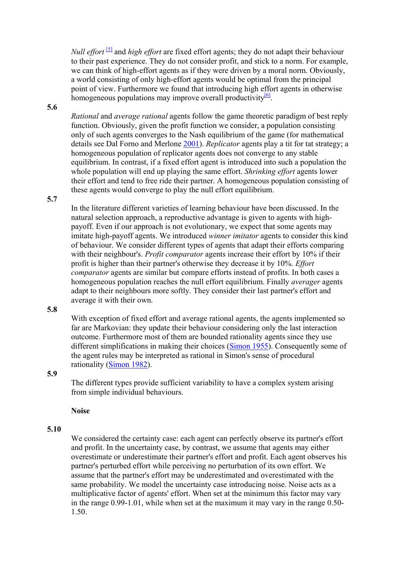*Null effort* <sup>[5]</sup> and *high effort* are fixed effort agents; they do not adapt their behaviour to their past experience. They do not consider profit, and stick to a norm. For example, we can think of high-effort agents as if they were driven by a moral norm. Obviously, a world consisting of only high-effort agents would be optimal from the principal point of view. Furthermore we found that introducing high effort agents in otherwise homogeneous populations may improve overall productivity  $\frac{6}{2}$ .

#### **5.6**

*Rational* and *average rational* agents follow the game theoretic paradigm of best reply function. Obviously, given the profit function we consider, a population consisting only of such agents converges to the Nash equilibrium of the game (for mathematical details see Dal Forno and Merlone [2001\)](#page-16-0). *Replicator* agents play a tit for tat strategy; a homogeneous population of replicator agents does not converge to any stable equilibrium. In contrast, if a fixed effort agent is introduced into such a population the whole population will end up playing the same effort. *Shrinking effort* agents lower their effort and tend to free ride their partner. A homogeneous population consisting of these agents would converge to play the null effort equilibrium.

#### **5.7**

In the literature different varieties of learning behaviour have been discussed. In the natural selection approach, a reproductive advantage is given to agents with highpayoff. Even if our approach is not evolutionary, we expect that some agents may imitate high-payoff agents. We introduced *winner imitator* agents to consider this kind of behaviour. We consider different types of agents that adapt their efforts comparing with their neighbour's. *Profit comparator* agents increase their effort by 10% if their profit is higher than their partner's otherwise they decrease it by 10%. *Effort comparator* agents are similar but compare efforts instead of profits. In both cases a homogeneous population reaches the null effort equilibrium. Finally *averager* agents adapt to their neighbours more softly. They consider their last partner's effort and average it with their own.

#### **5.8**

With exception of fixed effort and average rational agents, the agents implemented so far are Markovian: they update their behaviour considering only the last interaction outcome. Furthermore most of them are bounded rationality agents since they use different simplifications in making their choices ([Simon 1955](#page-17-0)). Consequently some of the agent rules may be interpreted as rational in Simon's sense of procedural rationality [\(Simon 1982](#page-17-0)).

#### **5.9**

The different types provide sufficient variability to have a complex system arising from simple individual behaviours.

#### **Noise**

#### **5.10**

We considered the certainty case: each agent can perfectly observe its partner's effort and profit. In the uncertainty case, by contrast, we assume that agents may either overestimate or underestimate their partner's effort and profit. Each agent observes his partner's perturbed effort while perceiving no perturbation of its own effort. We assume that the partner's effort may be underestimated and overestimated with the same probability. We model the uncertainty case introducing noise. Noise acts as a multiplicative factor of agents' effort. When set at the minimum this factor may vary in the range 0.99-1.01, while when set at the maximum it may vary in the range 0.50- 1.50.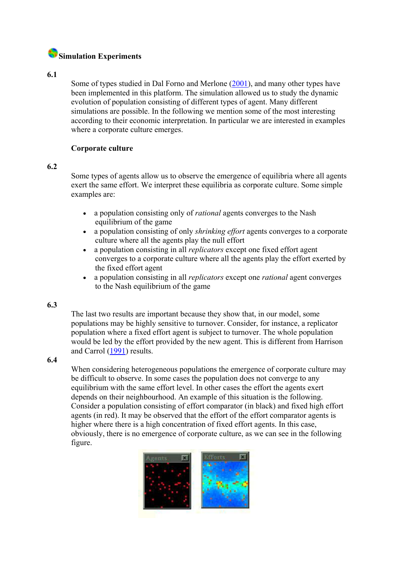## **Simulation Experiments**

#### **6.1**

Some of types studied in Dal Forno and Merlone ([2001\)](#page-16-0), and many other types have been implemented in this platform. The simulation allowed us to study the dynamic evolution of population consisting of different types of agent. Many different simulations are possible. In the following we mention some of the most interesting according to their economic interpretation. In particular we are interested in examples where a corporate culture emerges.

#### **Corporate culture**

#### **6.2**

Some types of agents allow us to observe the emergence of equilibria where all agents exert the same effort. We interpret these equilibria as corporate culture. Some simple examples are:

- a population consisting only of *rational* agents converges to the Nash equilibrium of the game
- a population consisting of only *shrinking effort* agents converges to a corporate culture where all the agents play the null effort
- a population consisting in all *replicators* except one fixed effort agent converges to a corporate culture where all the agents play the effort exerted by the fixed effort agent
- a population consisting in all *replicators* except one *rational* agent converges to the Nash equilibrium of the game

#### **6.3**

The last two results are important because they show that, in our model, some populations may be highly sensitive to turnover. Consider, for instance, a replicator population where a fixed effort agent is subject to turnover. The whole population would be led by the effort provided by the new agent. This is different from Harrison and Carrol ([1991\)](#page-17-0) results.

#### **6.4**

When considering heterogeneous populations the emergence of corporate culture may be difficult to observe. In some cases the population does not converge to any equilibrium with the same effort level. In other cases the effort the agents exert depends on their neighbourhood. An example of this situation is the following. Consider a population consisting of effort comparator (in black) and fixed high effort agents (in red). It may be observed that the effort of the effort comparator agents is higher where there is a high concentration of fixed effort agents. In this case, obviously, there is no emergence of corporate culture, as we can see in the following figure.

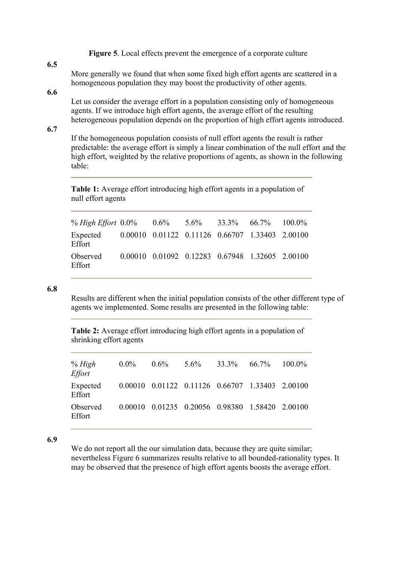**Figure 5**. Local effects prevent the emergence of a corporate culture

#### **6.5**

More generally we found that when some fixed high effort agents are scattered in a homogeneous population they may boost the productivity of other agents.

#### **6.6**

Let us consider the average effort in a population consisting only of homogeneous agents. If we introduce high effort agents, the average effort of the resulting heterogeneous population depends on the proportion of high effort agents introduced.

#### **6.7**

If the homogeneous population consists of null effort agents the result is rather predictable: the average effort is simply a linear combination of the null effort and the high effort, weighted by the relative proportions of agents, as shown in the following table:

**Table 1:** Average effort introducing high effort agents in a population of null effort agents

| % High Effort $0.0\%$ $0.6\%$ $5.6\%$ $33.3\%$ $66.7\%$ $100.0\%$  |  |                                                 |  |
|--------------------------------------------------------------------|--|-------------------------------------------------|--|
| Expected 0.00010 0.01122 0.11126 0.66707 1.33403 2.00100<br>Effort |  |                                                 |  |
| Observed<br>Effort                                                 |  | 0.00010 0.01092 0.12283 0.67948 1.32605 2.00100 |  |

#### **6.8**

Results are different when the initial population consists of the other different type of agents we implemented. Some results are presented in the following table:

**Table 2:** Average effort introducing high effort agents in a population of shrinking effort agents

| % High<br><b>Effort</b> | $0.0\%$ | $0.6\%$ | $5.6\%$ | $33.3\%$ 66.7%                                              | $100.0\%$ |
|-------------------------|---------|---------|---------|-------------------------------------------------------------|-----------|
| Expected<br>Effort      |         |         |         | $0.00010$ $0.01122$ $0.11126$ $0.66707$ $1.33403$ $2.00100$ |           |
| Observed<br>Effort      |         |         |         | 0.00010 0.01235 0.20056 0.98380 1.58420 2.00100             |           |

#### **6.9**

We do not report all the our simulation data, because they are quite similar; nevertheless Figure 6 summarizes results relative to all bounded-rationality types. It may be observed that the presence of high effort agents boosts the average effort.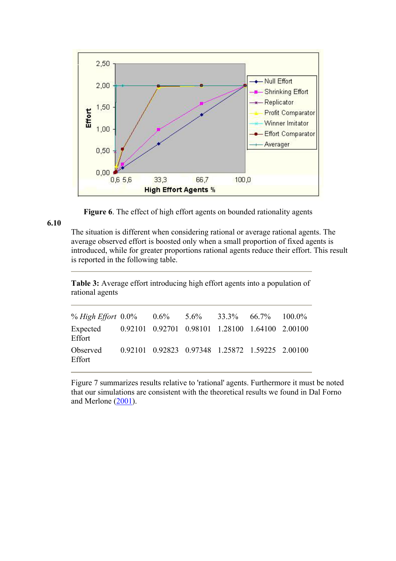

**Figure 6**. The effect of high effort agents on bounded rationality agents

The situation is different when considering rational or average rational agents. The average observed effort is boosted only when a small proportion of fixed agents is introduced, while for greater proportions rational agents reduce their effort. This result is reported in the following table.

**Table 3:** Average effort introducing high effort agents into a population of rational agents

| % High Effort $0.0\%$ $0.6\%$ $5.6\%$ $33.3\%$ $66.7\%$ $100.0\%$  |  |                                                 |  |
|--------------------------------------------------------------------|--|-------------------------------------------------|--|
| Expected 0.92101 0.92701 0.98101 1.28100 1.64100 2.00100<br>Effort |  |                                                 |  |
| Observed<br>Effort                                                 |  | 0.92101 0.92823 0.97348 1.25872 1.59225 2.00100 |  |

Figure 7 summarizes results relative to 'rational' agents. Furthermore it must be noted that our simulations are consistent with the theoretical results we found in Dal Forno and Merlone ([2001\)](#page-16-0).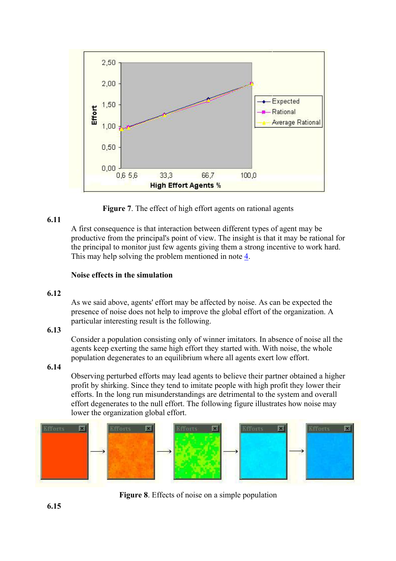

**Figure 7**. The effect of high effort agents on rational agents

A first consequence is that interaction between different types of agent may be productive from the principal's point of view. The insight is that it may be rational for the principal to monitor just few agents giving them a strong incentive to work hard. This may help solving the problem mentioned in note [4](http://jasss.soc.surrey.ac.uk/5/2/fn4).

#### **Noise effects in the simulation**

#### **6.12**

As we said above, agents' effort may be affected by noise. As can be expected the presence of noise does not help to improve the global effort of the organization. A particular interesting result is the following.

#### **6.13**

Consider a population consisting only of winner imitators. In absence of noise all the agents keep exerting the same high effort they started with. With noise, the whole population degenerates to an equilibrium where all agents exert low effort.

#### **6.14**

Observing perturbed efforts may lead agents to believe their partner obtained a higher profit by shirking. Since they tend to imitate people with high profit they lower their efforts. In the long run misunderstandings are detrimental to the system and overall effort degenerates to the null effort. The following figure illustrates how noise may lower the organization global effort.



**Figure 8**. Effects of noise on a simple population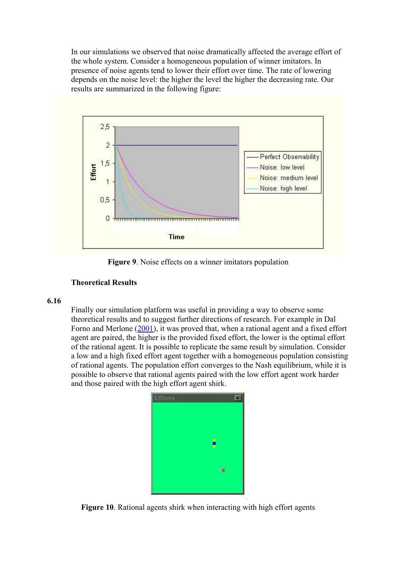In our simulations we observed that noise dramatically affected the average effort of the whole system. Consider a homogeneous population of winner imitators. In presence of noise agents tend to lower their effort over time. The rate of lowering depends on the noise level: the higher the level the higher the decreasing rate. Our results are summarized in the following figure:



**Figure 9**. Noise effects on a winner imitators population

#### **Theoretical Results**

#### **6.16**

Finally our simulation platform was useful in providing a way to observe some theoretical results and to suggest further directions of research. For example in Dal Forno and Merlone ([2001\)](#page-16-0), it was proved that, when a rational agent and a fixed effort agent are paired, the higher is the provided fixed effort, the lower is the optimal effort of the rational agent. It is possible to replicate the same result by simulation. Consider a low and a high fixed effort agent together with a homogeneous population consisting of rational agents. The population effort converges to the Nash equilibrium, while it is possible to observe that rational agents paired with the low effort agent work harder and those paired with the high effort agent shirk.



**Figure 10**. Rational agents shirk when interacting with high effort agents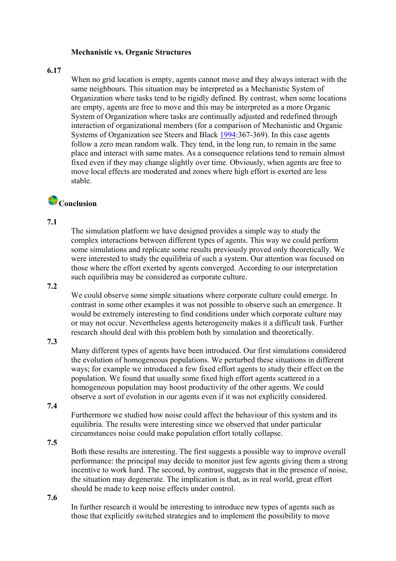#### **Mechanistic vs. Organic Structures**

#### **6.17**

When no grid location is empty, agents cannot move and they always interact with the same neighbours. This situation may be interpreted as a Mechanistic System of Organization where tasks tend to be rigidly defined. By contrast, when some locations are empty, agents are free to move and this may be interpreted as a more Organic System of Organization where tasks are continually adjusted and redefined through interaction of organizational members (for a comparison of Mechanistic and Organic Systems of Organization see Steers and Black [1994](#page-17-0):367-369). In this case agents follow a zero mean random walk. They tend, in the long run, to remain in the same place and interact with same mates. As a consequence relations tend to remain almost fixed even if they may change slightly over time. Obviously, when agents are free to move local effects are moderated and zones where high effort is exerted are less stable.

### **Conclusion**

#### **7.1**

The simulation platform we have designed provides a simple way to study the complex interactions between different types of agents. This way we could perform some simulations and replicate some results previously proved only theoretically. We were interested to study the equilibria of such a system. Our attention was focused on those where the effort exerted by agents converged. According to our interpretation such equilibria may be considered as corporate culture.

#### **7.2**

We could observe some simple situations where corporate culture could emerge. In contrast in some other examples it was not possible to observe such an emergence. It would be extremely interesting to find conditions under which corporate culture may or may not occur. Nevertheless agents heterogeneity makes it a difficult task. Further research should deal with this problem both by simulation and theoretically.

#### **7.3**

Many different types of agents have been introduced. Our first simulations considered the evolution of homogeneous populations. We perturbed these situations in different ways; for example we introduced a few fixed effort agents to study their effect on the population. We found that usually some fixed high effort agents scattered in a homogeneous population may boost productivity of the other agents. We could observe a sort of evolution in our agents even if it was not explicitly considered.

#### **7.4**

Furthermore we studied how noise could affect the behaviour of this system and its equilibria. The results were interesting since we observed that under particular circumstances noise could make population effort totally collapse.

#### **7.5**

Both these results are interesting. The first suggests a possible way to improve overall performance: the principal may decide to monitor just few agents giving them a strong incentive to work hard. The second, by contrast, suggests that in the presence of noise, the situation may degenerate. The implication is that, as in real world, great effort should be made to keep noise effects under control.

**7.6**

In further research it would be interesting to introduce new types of agents such as those that explicitly switched strategies and to implement the possibility to move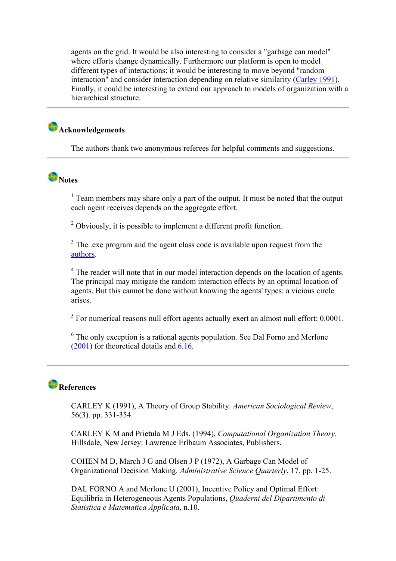<span id="page-16-0"></span>agents on the grid. It would be also interesting to consider a "garbage can model" where efforts change dynamically. Furthermore our platform is open to model different types of interactions; it would be interesting to move beyond "random interaction" and consider interaction depending on relative similarity [\(Carley 1991](#page-16-0)). Finally, it could be interesting to extend our approach to models of organization with a hierarchical structure.

## **Acknowledgements**

The authors thank two anonymous referees for helpful comments and suggestions.

# **Notes**

<sup>1</sup> Team members may share only a part of the output. It must be noted that the output each agent receives depends on the aggregate effort.

 $2^2$  Obviously, it is possible to implement a different profit function.

 $3$  The .exe program and the agent class code is available upon request from the [authors](mailto:merlone@econ.unito.it).

<sup>4</sup> The reader will note that in our model interaction depends on the location of agents. The principal may mitigate the random interaction effects by an optimal location of agents. But this cannot be done without knowing the agents' types: a vicious circle arises.

 $<sup>5</sup>$  For numerical reasons null effort agents actually exert an almost null effort: 0.0001.</sup>

 $6$  The only exception is a rational agents population. See Dal Forno and Merlone ([2001\)](#page-16-0) for theoretical details and [6.16](http://jasss.soc.surrey.ac.uk/5/2/6.16).

## **References**

CARLEY K (1991), A Theory of Group Stability. *American Sociological Review*, 56(3). pp. 331-354.

CARLEY K M and Prietula M J Eds. (1994), *Computational Organization Theory*. Hillsdale, New Jersey: Lawrence Erlbaum Associates, Publishers.

COHEN M D, March J G and Olsen J P (1972), A Garbage Can Model of Organizational Decision Making. *Administrative Science Quarterly*, 17. pp. 1-25.

DAL FORNO A and Merlone U (2001), Incentive Policy and Optimal Effort: Equilibria in Heterogeneous Agents Populations, *Quaderni del Dipartimento di Statistica e Matematica Applicata*, n.10.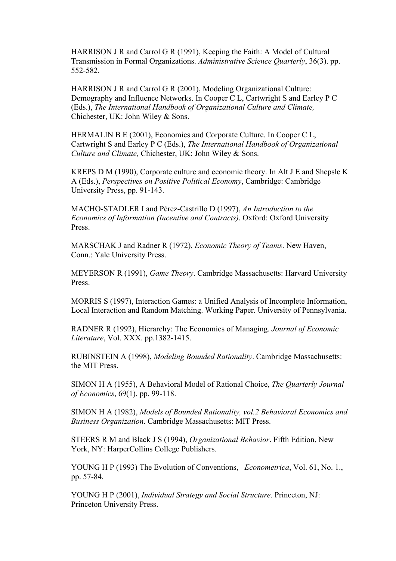<span id="page-17-0"></span>HARRISON J R and Carrol G R (1991), Keeping the Faith: A Model of Cultural Transmission in Formal Organizations. *Administrative Science Quarterly*, 36(3). pp. 552-582.

HARRISON J R and Carrol G R (2001), Modeling Organizational Culture: Demography and Influence Networks. In Cooper C L, Cartwright S and Earley P C (Eds.), *The International Handbook of Organizational Culture and Climate,*  Chichester, UK: John Wiley & Sons.

HERMALIN B E (2001), Economics and Corporate Culture. In Cooper C L, Cartwright S and Earley P C (Eds.), *The International Handbook of Organizational Culture and Climate,* Chichester, UK: John Wiley & Sons.

KREPS D M (1990), Corporate culture and economic theory. In Alt J E and Shepsle K A (Eds.), *Perspectives on Positive Political Economy*, Cambridge: Cambridge University Press, pp. 91-143.

MACHO-STADLER I and Pérez-Castrillo D (1997), *An Introduction to the Economics of Information (Incentive and Contracts)*. Oxford: Oxford University Press.

MARSCHAK J and Radner R (1972), *Economic Theory of Teams*. New Haven, Conn.: Yale University Press.

MEYERSON R (1991), *Game Theory*. Cambridge Massachusetts: Harvard University Press.

MORRIS S (1997), Interaction Games: a Unified Analysis of Incomplete Information, Local Interaction and Random Matching. Working Paper. University of Pennsylvania.

RADNER R (1992), Hierarchy: The Economics of Managing. *Journal of Economic Literature*, Vol. XXX. pp.1382-1415.

RUBINSTEIN A (1998), *Modeling Bounded Rationality*. Cambridge Massachusetts: the MIT Press.

SIMON H A (1955), A Behavioral Model of Rational Choice, *The Quarterly Journal of Economics*, 69(1). pp. 99-118.

SIMON H A (1982), *Models of Bounded Rationality, vol.2 Behavioral Economics and Business Organization*. Cambridge Massachusetts: MIT Press.

STEERS R M and Black J S (1994), *Organizational Behavior*. Fifth Edition, New York, NY: HarperCollins College Publishers.

YOUNG H P (1993) The Evolution of Conventions, *Econometrica*, Vol. 61, No. 1., pp. 57-84.

YOUNG H P (2001), *Individual Strategy and Social Structure*. Princeton, NJ: Princeton University Press.